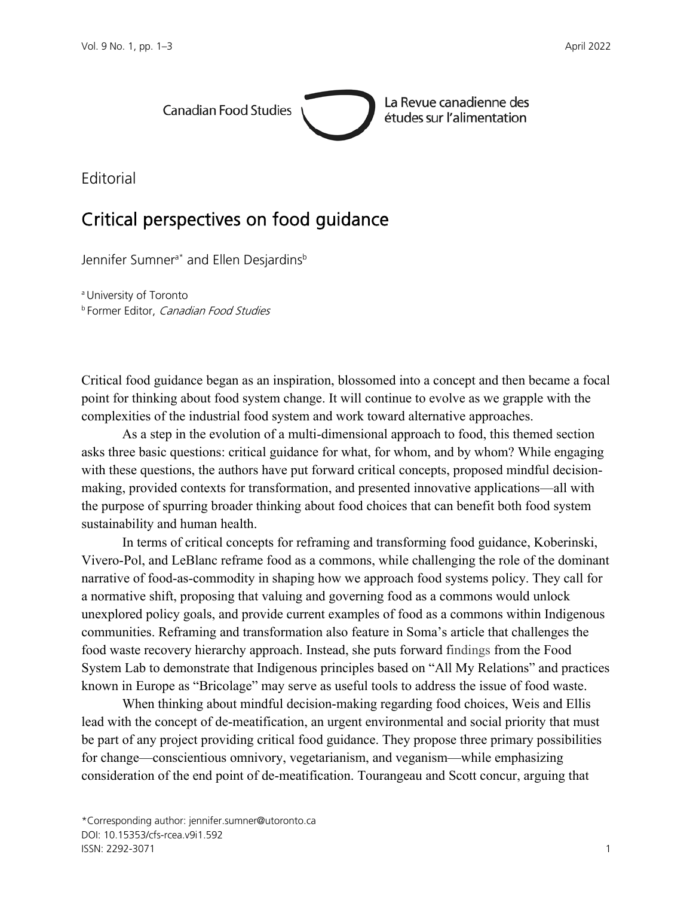

La Revue canadienne des études sur l'alimentation

Editorial

## Critical perspectives on food guidance

Jennifer Sumner<sup>a\*</sup> and Ellen Desjardins<sup>b</sup>

a University of Toronto **b Former Editor, Canadian Food Studies** 

Critical food guidance began as an inspiration, blossomed into a concept and then became a focal point for thinking about food system change. It will continue to evolve as we grapple with the complexities of the industrial food system and work toward alternative approaches.

As a step in the evolution of a multi-dimensional approach to food, this themed section asks three basic questions: critical guidance for what, for whom, and by whom? While engaging with these questions, the authors have put forward critical concepts, proposed mindful decisionmaking, provided contexts for transformation, and presented innovative applications—all with the purpose of spurring broader thinking about food choices that can benefit both food system sustainability and human health.

In terms of critical concepts for reframing and transforming food guidance, Koberinski, Vivero-Pol, and LeBlanc reframe food as a commons, while challenging the role of the dominant narrative of food-as-commodity in shaping how we approach food systems policy. They call for a normative shift, proposing that valuing and governing food as a commons would unlock unexplored policy goals, and provide current examples of food as a commons within Indigenous communities. Reframing and transformation also feature in Soma's article that challenges the food waste recovery hierarchy approach. Instead, she puts forward findings from the Food System Lab to demonstrate that Indigenous principles based on "All My Relations" and practices known in Europe as "Bricolage" may serve as useful tools to address the issue of food waste.

When thinking about mindful decision-making regarding food choices, Weis and Ellis lead with the concept of de-meatification, an urgent environmental and social priority that must be part of any project providing critical food guidance. They propose three primary possibilities for change—conscientious omnivory, vegetarianism, and veganism—while emphasizing consideration of the end point of de-meatification. Tourangeau and Scott concur, arguing that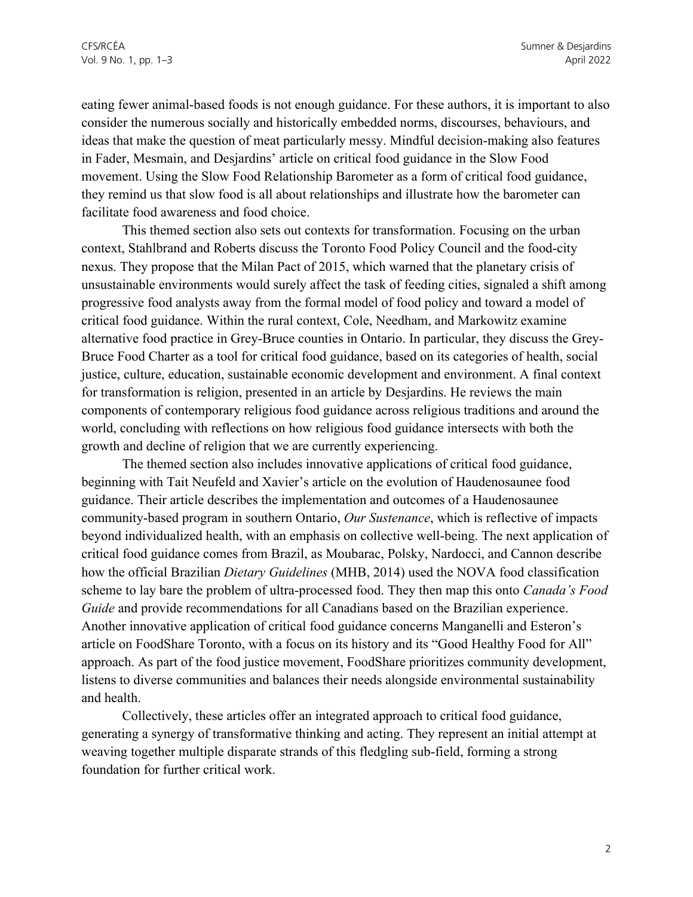eating fewer animal-based foods is not enough guidance. For these authors, it is important to also consider the numerous socially and historically embedded norms, discourses, behaviours, and ideas that make the question of meat particularly messy. Mindful decision-making also features in Fader, Mesmain, and Desjardins' article on critical food guidance in the Slow Food movement. Using the Slow Food Relationship Barometer as a form of critical food guidance, they remind us that slow food is all about relationships and illustrate how the barometer can facilitate food awareness and food choice.

This themed section also sets out contexts for transformation. Focusing on the urban context, Stahlbrand and Roberts discuss the Toronto Food Policy Council and the food-city nexus. They propose that the Milan Pact of 2015, which warned that the planetary crisis of unsustainable environments would surely affect the task of feeding cities, signaled a shift among progressive food analysts away from the formal model of food policy and toward a model of critical food guidance. Within the rural context, Cole, Needham, and Markowitz examine alternative food practice in Grey-Bruce counties in Ontario. In particular, they discuss the Grey-Bruce Food Charter as a tool for critical food guidance, based on its categories of health, social justice, culture, education, sustainable economic development and environment. A final context for transformation is religion, presented in an article by Desjardins. He reviews the main components of contemporary religious food guidance across religious traditions and around the world, concluding with reflections on how religious food guidance intersects with both the growth and decline of religion that we are currently experiencing.

The themed section also includes innovative applications of critical food guidance, beginning with Tait Neufeld and Xavier's article on the evolution of Haudenosaunee food guidance. Their article describes the implementation and outcomes of a Haudenosaunee community-based program in southern Ontario, *Our Sustenance*, which is reflective of impacts beyond individualized health, with an emphasis on collective well-being. The next application of critical food guidance comes from Brazil, as Moubarac, Polsky, Nardocci, and Cannon describe how the official Brazilian *Dietary Guidelines* (MHB, 2014) used the NOVA food classification scheme to lay bare the problem of ultra-processed food. They then map this onto *Canada's Food Guide* and provide recommendations for all Canadians based on the Brazilian experience. Another innovative application of critical food guidance concerns Manganelli and Esteron's article on FoodShare Toronto, with a focus on its history and its "Good Healthy Food for All" approach. As part of the food justice movement, FoodShare prioritizes community development, listens to diverse communities and balances their needs alongside environmental sustainability and health.

Collectively, these articles offer an integrated approach to critical food guidance, generating a synergy of transformative thinking and acting. They represent an initial attempt at weaving together multiple disparate strands of this fledgling sub-field, forming a strong foundation for further critical work.